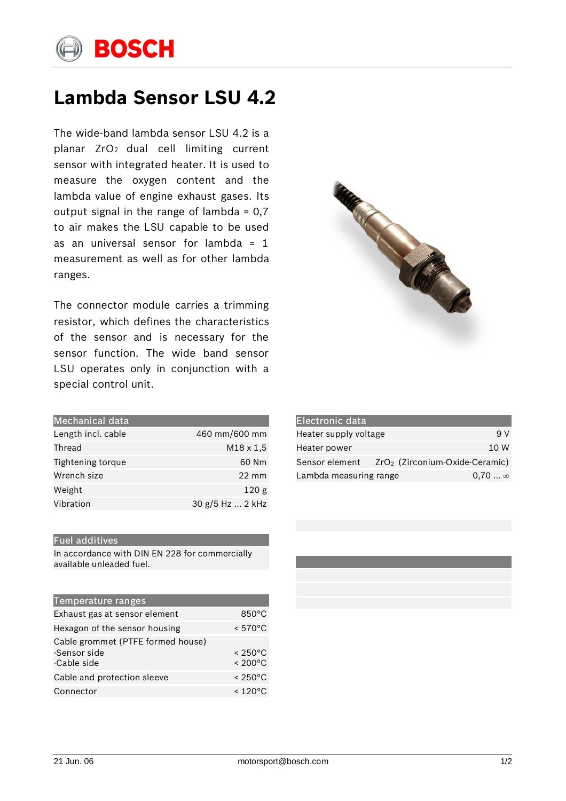

## **Lambda Sensor LSU 4.2**

The wide-band lambda sensor LSU 4.2 is a planar ZrO2 dual cell limiting current sensor with integrated heater. It is used to measure the oxygen content and the lambda value of engine exhaust gases. Its output signal in the range of lambda =  $0,7$ to air makes the LSU capable to be used as an universal sensor for lambda =  $1$ measurement as well as for other lambda ranges.

The connector module carries a trimming resistor, which defines the characteristics of the sensor and is necessary for the sensor function. The wide band sensor LSU operates only in conjunction with a special control unit.

| <b>Mechanical data</b>   |                  |
|--------------------------|------------------|
| Length incl. cable       | 460 mm/600 mm    |
| Thread                   | $M18 \times 1,5$ |
| <b>Tightening torque</b> | 60 Nm            |
| Wrench size              | $22 \text{ mm}$  |
| Weight                   | 120 <sub>g</sub> |
| Vibration                | 30 g/5 Hz  2 kHz |

## Fuel additives

In accordance with DIN EN 228 for commercially available unleaded fuel.

| Temperature ranges                                               |                                        |
|------------------------------------------------------------------|----------------------------------------|
| Exhaust gas at sensor element                                    | $850^{\circ}$ C                        |
| Hexagon of the sensor housing                                    | $< 570^{\circ}$ C                      |
| Cable grommet (PTFE formed house)<br>-Sensor side<br>-Cable side | $< 250^{\circ}$ C<br>$< 200^{\circ}$ C |
| Cable and protection sleeve                                      | $< 250^{\circ}$ C                      |
| Connector                                                        | $< 120^{\circ}$ C                      |



| <b>Electronic data</b> |                                  |                 |
|------------------------|----------------------------------|-----------------|
| Heater supply voltage  |                                  | 9 V             |
| Heater power           |                                  | 10 W            |
| Sensor element         | $ZrO2$ (Zirconium-Oxide-Ceramic) |                 |
| Lambda measuring range |                                  | $0.70$ $\infty$ |